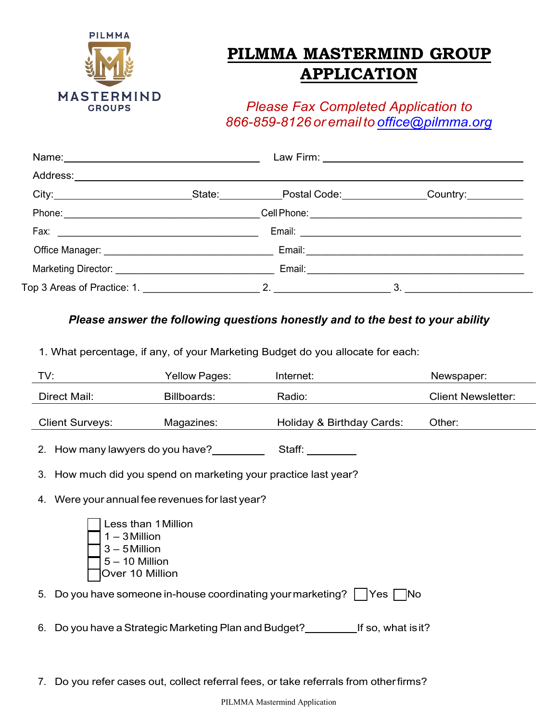

## **PILMMA MASTERMIND GROUP APPLICATION**

*Please Fax Completed Application to 866-859-8126 or email to [office@pilmma.org](mailto:info@pilmma.org)*

| Name: 2008 2010 2021 2022 2023 2024 2022 2022 2023 2024 2022 2023 2024 2022 2023 2024 2022 2023 2024 2022 2023 |  |    |  |
|----------------------------------------------------------------------------------------------------------------|--|----|--|
|                                                                                                                |  |    |  |
|                                                                                                                |  |    |  |
|                                                                                                                |  |    |  |
|                                                                                                                |  |    |  |
|                                                                                                                |  |    |  |
|                                                                                                                |  |    |  |
|                                                                                                                |  | 3. |  |

## *Please answer the following questions honestly and to the best to your ability*

1. What percentage, if any, of your Marketing Budget do you allocate for each:

| TV:                                                                                              | Yellow Pages:                                      | Internet:                                                                                                                  | Newspaper:                |  |  |
|--------------------------------------------------------------------------------------------------|----------------------------------------------------|----------------------------------------------------------------------------------------------------------------------------|---------------------------|--|--|
| Direct Mail:                                                                                     | Billboards:                                        | Radio:                                                                                                                     | <b>Client Newsletter:</b> |  |  |
| <b>Client Surveys:</b>                                                                           | Magazines:                                         | Holiday & Birthday Cards:                                                                                                  | Other:                    |  |  |
| 2. How many lawyers do you have?                                                                 |                                                    | Staff: ________                                                                                                            |                           |  |  |
| 3. How much did you spend on marketing your practice last year?                                  |                                                    |                                                                                                                            |                           |  |  |
| 4. Were your annual fee revenues for last year?                                                  |                                                    |                                                                                                                            |                           |  |  |
| Less than 1 Million<br>$1 - 3$ Million<br>$3 - 5$ Million<br>$5 - 10$ Million<br>Over 10 Million |                                                    |                                                                                                                            |                           |  |  |
| 5.                                                                                               |                                                    | Do you have someone in-house coordinating your marketing? $\vert \hspace{0.1cm} \vert$ Yes $\vert \hspace{0.1cm} \vert$ No |                           |  |  |
| 6.                                                                                               | Do you have a Strategic Marketing Plan and Budget? | If so, what is it?                                                                                                         |                           |  |  |

7. Do you refer cases out, collect referral fees, or take referrals from otherfirms?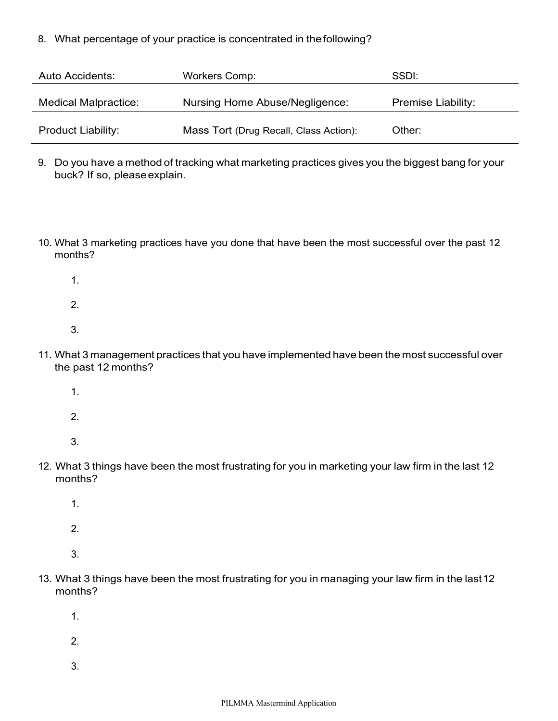8. What percentage of your practice is concentrated in thefollowing?

| Auto Accidents:             | <b>Workers Comp:</b>                   | SSDI:                     |
|-----------------------------|----------------------------------------|---------------------------|
| <b>Medical Malpractice:</b> | Nursing Home Abuse/Negligence:         | <b>Premise Liability:</b> |
| <b>Product Liability:</b>   | Mass Tort (Drug Recall, Class Action): | Other:                    |

- 9. Do you have a method of tracking what marketing practices gives you the biggest bang for your buck? If so, pleaseexplain.
- 10. What 3 marketing practices have you done that have been the most successful over the past 12 months?
	- 1.
	- 2.
	- 3.
- 11. What 3 management practices that you have implemented have been the most successful over the past 12 months?
	- 1.
	- 2.
	- 3.
- 12. What 3 things have been the most frustrating for you in marketing your law firm in the last 12 months?
	- 1.
	- 2.
	- 3.
- 13. What 3 things have been the most frustrating for you in managing your law firm in the last12 months?
	- 1.
	- 2.
	-
	- 3.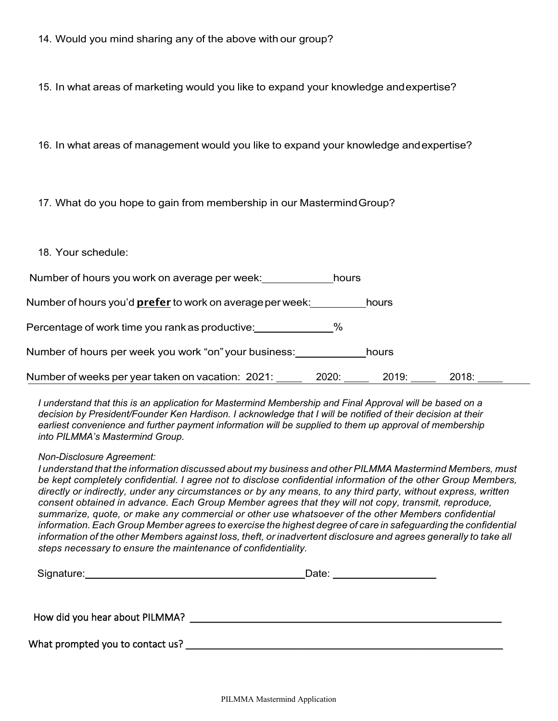15. In what areas of marketing would you like to expand your knowledge andexpertise?

16. In what areas of management would you like to expand your knowledge andexpertise?

17. What do you hope to gain from membership in our MastermindGroup?

18. Your schedule:

Number of hours you work on average per week: https://www.hours

Number of hours you'd **prefer** to work on average per week: hours

% Percentage of work time you rankas productive:

Number of hours per week you work "on" your business: \_\_\_\_\_\_\_\_\_\_\_\_\_\_hours

Number of weeks per year taken on vacation: 2021: 2020: 2020: 2019: 2018: 2018: 2018:

*I understand that this is an application for Mastermind Membership and Final Approval will be based on a decision by President/Founder Ken Hardison. I acknowledge that I will be notified of their decision at their*  earliest convenience and further payment information will be supplied to them up approval of membership *into PILMMA's Mastermind Group.*

*Non-Disclosure Agreement:*

*I understand that the information discussed about my business and other PILMMA Mastermind Members, must be kept completely confidential. I agree not to disclose confidential information of the other Group Members, directly or indirectly, under any circumstances or by any means, to any third party, without express, written consent obtained in advance. Each Group Member agrees that they will not copy, transmit, reproduce, summarize, quote, or make any commercial or other use whatsoever of the other Members confidential information.Each Group Member agrees to exercise the highest degree of care in safeguarding the confidential*  information of the other Members against loss, theft, or inadvertent disclosure and agrees generally to take all *steps necessary to ensure the maintenance of confidentiality.*

| Signature:                       | Date: |  |
|----------------------------------|-------|--|
| How did you hear about PILMMA?   |       |  |
| What prompted you to contact us? |       |  |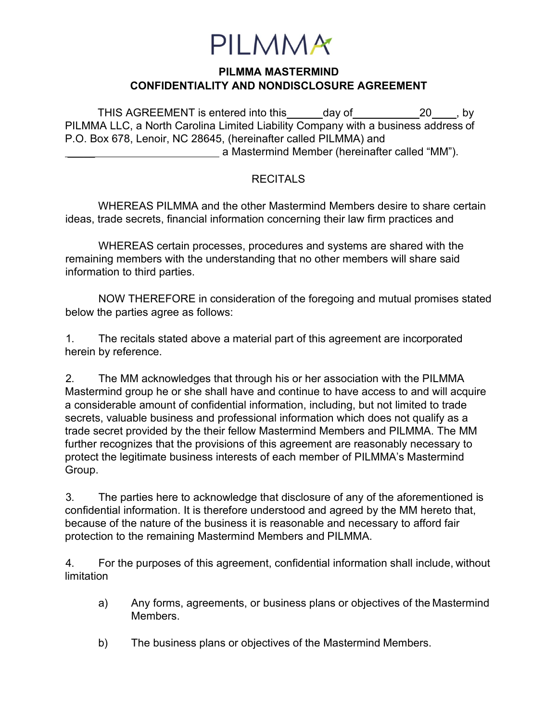

## **PILMMA MASTERMIND CONFIDENTIALITY AND NONDISCLOSURE AGREEMENT**

THIS AGREEMENT is entered into this day of 20, by PILMMA LLC, a North Carolina Limited Liability Company with a business address of P.O. Box 678, Lenoir, NC 28645, (hereinafter called PILMMA) and a Mastermind Member (hereinafter called "MM").

## **RECITALS**

WHEREAS PILMMA and the other Mastermind Members desire to share certain ideas, trade secrets, financial information concerning their law firm practices and

WHEREAS certain processes, procedures and systems are shared with the remaining members with the understanding that no other members will share said information to third parties.

NOW THEREFORE in consideration of the foregoing and mutual promises stated below the parties agree as follows:

1. The recitals stated above a material part of this agreement are incorporated herein by reference.

2. The MM acknowledges that through his or her association with the PILMMA Mastermind group he or she shall have and continue to have access to and will acquire a considerable amount of confidential information, including, but not limited to trade secrets, valuable business and professional information which does not qualify as a trade secret provided by the their fellow Mastermind Members and PILMMA. The MM further recognizes that the provisions of this agreement are reasonably necessary to protect the legitimate business interests of each member of PILMMA's Mastermind Group.

3. The parties here to acknowledge that disclosure of any of the aforementioned is confidential information. It is therefore understood and agreed by the MM hereto that, because of the nature of the business it is reasonable and necessary to afford fair protection to the remaining Mastermind Members and PILMMA.

4. For the purposes of this agreement, confidential information shall include, without limitation

- a) Any forms, agreements, or business plans or objectives of the Mastermind Members.
- b) The business plans or objectives of the Mastermind Members.